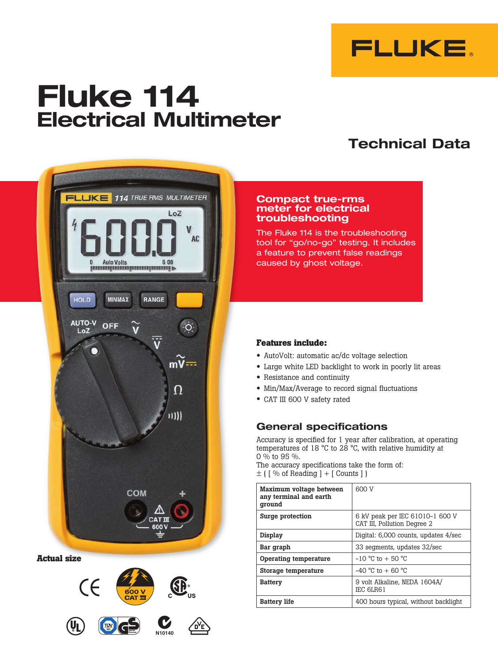

# **Fluke 114 Electrical Multimeter**

# **Technical Data**



**Actual size**



#### **Compact true-rms meter for electrical troubleshooting**

The Fluke 114 is the troubleshooting tool for "go/no-go" testing. It includes a feature to prevent false readings caused by ghost voltage.

### **Features include:**

- • AutoVolt: automatic ac/dc voltage selection
- • Large white LED backlight to work in poorly lit areas
- • Resistance and continuity
- Min/Max/Average to record signal fluctuations
- • CAT III <sup>600</sup> <sup>V</sup> safety rated

### **General specifications**

Accuracy is specified for 1 year after calibration, at operating temperatures of 18 °C to 28 °C, with relative humidity at 0 % to 95 %.

The accuracy specifications take the form of:  $\pm$  (  $\sqrt{ }$  % of Reading +  $\sqrt{ }$  Counts  $\sqrt{ }$  )

| Maximum voltage between<br>any terminal and earth<br>qround | 600 V                                                          |  |
|-------------------------------------------------------------|----------------------------------------------------------------|--|
| Surge protection                                            | 6 kV peak per IEC 61010-1 600 V<br>CAT III, Pollution Degree 2 |  |
| Display                                                     | Digital: 6,000 counts, updates 4/sec                           |  |
| Bar graph                                                   | 33 segments, updates 32/sec                                    |  |
| Operating temperature                                       | $-10$ °C to $+50$ °C                                           |  |
| Storage temperature                                         | $-40$ °C to $+60$ °C                                           |  |
| <b>Battery</b>                                              | 9 volt Alkaline. NEDA 1604A/<br>IEC 6LR61                      |  |
| <b>Battery life</b>                                         | 400 hours typical, without backlight                           |  |